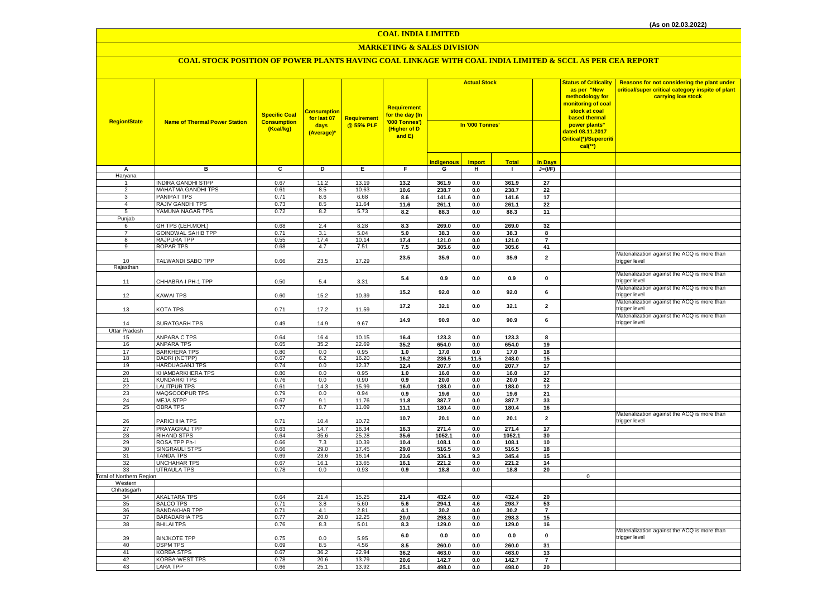## **MARKETING & SALES DIVISION**

| <b>Region/State</b>             | <b>Name of Thermal Power Station</b>      | <b>Specific Coal</b><br><b>Consumption</b><br>(Kcal/kg) | <mark>Consumption</mark><br>for last 07<br>days<br>(Average)* | <b>Requirement</b><br>@ 55% PLF | <b>Requirement</b><br>for the day (In<br>'000 Tonnes')<br>(Higher of D<br>and E) | <b>Actual Stock</b><br>In '000 Tonnes' |               |               |                         | <b>Status of Criticality</b><br>as per "New<br>methodology for<br>nonitoring of coal<br>stock at coal<br><b>based thermal</b><br>power plants"<br>dated 08.11.2017<br>Critical(*)/Supercriti<br>$cal(**)$ | Reasons for not considering the plant under<br>critical/super critical category inspite of plant<br>carrying low stock |
|---------------------------------|-------------------------------------------|---------------------------------------------------------|---------------------------------------------------------------|---------------------------------|----------------------------------------------------------------------------------|----------------------------------------|---------------|---------------|-------------------------|-----------------------------------------------------------------------------------------------------------------------------------------------------------------------------------------------------------|------------------------------------------------------------------------------------------------------------------------|
|                                 |                                           |                                                         |                                                               |                                 |                                                                                  | <b>Indigenous</b>                      | <b>Import</b> | <b>Total</b>  | <b>In Days</b>          |                                                                                                                                                                                                           |                                                                                                                        |
| Α                               | в                                         | C                                                       | D                                                             | E.                              | F.                                                                               | G                                      | н             | $\mathbf{I}$  | $J=(\mathsf{IF})$       |                                                                                                                                                                                                           |                                                                                                                        |
| Haryana                         |                                           |                                                         |                                                               |                                 |                                                                                  |                                        |               |               |                         |                                                                                                                                                                                                           |                                                                                                                        |
|                                 | <b>INDIRA GANDHI STPP</b>                 | 0.67                                                    | 11.2                                                          | 13.19                           | 13.2                                                                             | 361.9                                  | 0.0           | 361.9         | 27                      |                                                                                                                                                                                                           |                                                                                                                        |
| 2                               | <b>MAHATMA GANDHI TPS</b>                 | 0.61                                                    | 8.5                                                           | 10.63                           | 10.6                                                                             | 238.7                                  | 0.0           | 238.7         | 22                      |                                                                                                                                                                                                           |                                                                                                                        |
| 3                               | <b>PANIPAT TPS</b>                        | 0.71                                                    | 8.6                                                           | 6.68                            | 8.6                                                                              | 141.6                                  | 0.0           | 141.6         | 17                      |                                                                                                                                                                                                           |                                                                                                                        |
| $\overline{4}$                  | RAJIV GANDHI TPS                          | 0.73                                                    | 8.5                                                           | 11.64                           | 11.6                                                                             | 261.1                                  | 0.0           | 261.1         | 22                      |                                                                                                                                                                                                           |                                                                                                                        |
| 5                               | YAMUNA NAGAR TPS                          | 0.72                                                    | 8.2                                                           | 5.73                            | 8.2                                                                              | 88.3                                   | 0.0           | 88.3          | 11                      |                                                                                                                                                                                                           |                                                                                                                        |
| Punjab                          |                                           |                                                         |                                                               |                                 |                                                                                  |                                        |               |               |                         |                                                                                                                                                                                                           |                                                                                                                        |
| 6                               | GH TPS (LEH.MOH.)                         | 0.68                                                    | 2.4                                                           | 8.28                            | 8.3                                                                              | 269.0                                  | 0.0           | 269.0         | 32                      |                                                                                                                                                                                                           |                                                                                                                        |
| $\overline{7}$                  | <b>GOINDWAL SAHIB TPP</b>                 | 0.71                                                    | 3.1                                                           | 5.04                            | 5.0                                                                              | 38.3                                   | 0.0           | 38.3          | 8                       |                                                                                                                                                                                                           |                                                                                                                        |
| 8                               | RAJPURA TPP                               | 0.55                                                    | 17.4                                                          | 10.14                           | 17.4                                                                             | 121.0                                  | $0.0\,$       | 121.0         | $\overline{7}$          |                                                                                                                                                                                                           |                                                                                                                        |
| 9                               | <b>ROPAR TPS</b>                          | 0.68                                                    | 4.7                                                           | 7.51                            | 7.5                                                                              | 305.6                                  | 0.0           | 305.6         | 41                      |                                                                                                                                                                                                           |                                                                                                                        |
| 10                              | TALWANDI SABO TPP                         | 0.66                                                    | 23.5                                                          | 17.29                           | 23.5                                                                             | 35.9                                   | 0.0           | 35.9          | $\mathbf 2$             |                                                                                                                                                                                                           | Materialization against the ACQ is more than<br>trigger level                                                          |
| Rajasthan                       |                                           |                                                         |                                                               |                                 |                                                                                  |                                        |               |               |                         |                                                                                                                                                                                                           |                                                                                                                        |
| 11                              | CHHABRA-I PH-1 TPP                        | 0.50                                                    | 5.4                                                           | 3.31                            | 5.4                                                                              | 0.9                                    | 0.0           | 0.9           | $\pmb{0}$               |                                                                                                                                                                                                           | Materialization against the ACQ is more than<br>trigger level                                                          |
| 12                              | KAWAI TPS                                 | 0.60                                                    | 15.2                                                          | 10.39                           | 15.2                                                                             | 92.0                                   | 0.0           | 92.0          | 6                       |                                                                                                                                                                                                           | Materialization against the ACQ is more than<br>trigger level                                                          |
| 13                              | KOTA TPS                                  | 0.71                                                    | 17.2                                                          | 11.59                           | 17.2                                                                             | 32.1                                   | 0.0           | 32.1          | $\overline{\mathbf{2}}$ |                                                                                                                                                                                                           | Materialization against the ACQ is more than<br>trigger level                                                          |
| 14                              | SURATGARH TPS                             | 0.49                                                    | 14.9                                                          | 9.67                            | 14.9                                                                             | 90.9                                   | 0.0           | 90.9          | 6                       |                                                                                                                                                                                                           | Materialization against the ACQ is more than<br>trigger level                                                          |
| <b>Uttar Pradesh</b>            |                                           |                                                         |                                                               |                                 |                                                                                  |                                        |               |               |                         |                                                                                                                                                                                                           |                                                                                                                        |
| 15                              | <b>ANPARA C TPS</b>                       | 0.64                                                    | 16.4                                                          | 10.15                           | 16.4                                                                             | 123.3                                  | 0.0           | 123.3         | 8                       |                                                                                                                                                                                                           |                                                                                                                        |
| 16                              | <b>ANPARA TPS</b>                         | 0.65                                                    | 35.2                                                          | 22.69                           | 35.2                                                                             | 654.0                                  | 0.0           | 654.0         | 19                      |                                                                                                                                                                                                           |                                                                                                                        |
| 17                              | <b>BARKHERA TPS</b>                       | 0.80                                                    | 0.0                                                           | 0.95                            | 1.0                                                                              | 17.0                                   | 0.0           | 17.0          | 18                      |                                                                                                                                                                                                           |                                                                                                                        |
| 18<br>19                        | DADRI (NCTPP)                             | 0.67<br>0.74                                            | 6.2<br>0.0                                                    | 16.20<br>12.37                  | 16.2                                                                             | 236.5                                  | 11.5          | 248.0         | 15                      |                                                                                                                                                                                                           |                                                                                                                        |
| 20                              | <b>HARDUAGANJ TPS</b><br>KHAMBARKHERA TPS | 0.80                                                    | 0.0                                                           | 0.95                            | 12.4<br>1.0                                                                      | 207.7<br>16.0                          | 0.0<br>0.0    | 207.7<br>16.0 | 17<br>17                |                                                                                                                                                                                                           |                                                                                                                        |
| 21                              | <b>KUNDARKI TPS</b>                       | 0.76                                                    | 0.0                                                           | 0.90                            | 0.9                                                                              | 20.0                                   | 0.0           | 20.0          | 22                      |                                                                                                                                                                                                           |                                                                                                                        |
| 22                              | <b>LALITPUR TPS</b>                       | 0.61                                                    | 14.3                                                          | 15.99                           | 16.0                                                                             | 188.0                                  | 0.0           | 188.0         | 12                      |                                                                                                                                                                                                           |                                                                                                                        |
| 23                              | MAQSOODPUR TPS                            | 0.79                                                    | 0.0                                                           | 0.94                            | 0.9                                                                              | 19.6                                   | $0.0\,$       | 19.6          | 21                      |                                                                                                                                                                                                           |                                                                                                                        |
| 24                              | <b>MEJA STPP</b>                          | 0.67                                                    | 9.1                                                           | 11.76                           | 11.8                                                                             | 387.7                                  | $0.0\,$       | 387.7         | 33                      |                                                                                                                                                                                                           |                                                                                                                        |
| 25                              | <b>OBRA TPS</b>                           | 0.77                                                    | 8.7                                                           | 11.09                           | 11.1                                                                             | 180.4                                  | 0.0           | 180.4         | 16                      |                                                                                                                                                                                                           |                                                                                                                        |
|                                 |                                           |                                                         |                                                               |                                 |                                                                                  |                                        |               |               |                         |                                                                                                                                                                                                           | Materialization against the ACQ is more than                                                                           |
| 26                              | PARICHHA TPS                              | 0.71                                                    | 10.4                                                          | 10.72                           | 10.7                                                                             | 20.1                                   | 0.0           | 20.1          | $\mathbf{2}$            |                                                                                                                                                                                                           | trigger level                                                                                                          |
| 27                              | PRAYAGRAJ TPP                             | 0.63                                                    | 14.7                                                          | 16.34                           | $16.3$                                                                           | 271.4                                  | 0.0           | 271.4         | 17                      |                                                                                                                                                                                                           |                                                                                                                        |
| 28                              | <b>RIHAND STPS</b>                        | 0.64                                                    | 35.6                                                          | 25.28                           | 35.6                                                                             | 1052.1                                 | 0.0           | 1052.1        | 30                      |                                                                                                                                                                                                           |                                                                                                                        |
| 29                              | ROSA TPP Ph-I                             | 0.66                                                    | 7.3                                                           | 10.39                           | 10.4                                                                             | 108.1                                  | 0.0           | 108.1         | 10                      |                                                                                                                                                                                                           |                                                                                                                        |
| 30                              | <b>SINGRAULI STPS</b>                     | 0.66                                                    | 29.0                                                          | 17.45                           | 29.0                                                                             | 516.5                                  | 0.0           | 516.5         | 18                      |                                                                                                                                                                                                           |                                                                                                                        |
| 31                              | <b>TANDA TPS</b><br><b>UNCHAHAR TPS</b>   | 0.69                                                    | 23.6                                                          | 16.14                           | 23.6                                                                             | 336.1                                  | 9.3           | 345.4         | 15                      |                                                                                                                                                                                                           |                                                                                                                        |
| 32<br>33                        | <b>UTRAULA TPS</b>                        | 0.67<br>0.78                                            | 16.1<br>0.0                                                   | 13.65<br>0.93                   | 16.1<br>0.9                                                                      | 221.2<br>18.8                          | 0.0<br>0.0    | 221.2<br>18.8 | 14<br>20                |                                                                                                                                                                                                           |                                                                                                                        |
| <b>Total of Northern Region</b> |                                           |                                                         |                                                               |                                 |                                                                                  |                                        |               |               |                         | $\mathbf 0$                                                                                                                                                                                               |                                                                                                                        |
| Western                         |                                           |                                                         |                                                               |                                 |                                                                                  |                                        |               |               |                         |                                                                                                                                                                                                           |                                                                                                                        |
| Chhatisgarh                     |                                           |                                                         |                                                               |                                 |                                                                                  |                                        |               |               |                         |                                                                                                                                                                                                           |                                                                                                                        |
| 34                              | <b>AKALTARA TPS</b>                       | 0.64                                                    | 21.4                                                          | 15.25                           | 21.4                                                                             | 432.4                                  | 0.0           | 432.4         | 20                      |                                                                                                                                                                                                           |                                                                                                                        |
| 35                              | <b>BALCO TPS</b>                          | 0.71                                                    | 3.8                                                           | 5.60                            | 5.6                                                                              | 294.1                                  | 4.6           | 298.7         | 53                      |                                                                                                                                                                                                           |                                                                                                                        |
| 36                              | <b>BANDAKHAR TPP</b>                      | 0.71                                                    | 4.1                                                           | 2.81                            | 4.1                                                                              | 30.2                                   | $0.0\,$       | 30.2          | $\overline{7}$          |                                                                                                                                                                                                           |                                                                                                                        |
| 37                              | <b>BARADARHA TPS</b>                      | 0.77                                                    | 20.0                                                          | 12.25                           | 20.0                                                                             | 298.3                                  | 0.0           | 298.3         | 15                      |                                                                                                                                                                                                           |                                                                                                                        |
| 38                              | <b>BHILAI TPS</b>                         | 0.76                                                    | 8.3                                                           | 5.01                            | 8.3                                                                              | 129.0                                  | 0.0           | 129.0         | 16                      |                                                                                                                                                                                                           |                                                                                                                        |
| 39                              | <b>BINJKOTE TPP</b>                       | 0.75                                                    | 0.0                                                           | 5.95                            | 6.0                                                                              | 0.0                                    | 0.0           | 0.0           | $\pmb{0}$               |                                                                                                                                                                                                           | Materialization against the ACQ is more than<br>trigger level                                                          |
| 40                              | <b>DSPM TPS</b>                           | 0.69                                                    | 8.5                                                           | 4.56                            | 8.5                                                                              | 260.0                                  | 0.0           | 260.0         | 31                      |                                                                                                                                                                                                           |                                                                                                                        |
| 41                              | <b>KORBA STPS</b>                         | 0.67                                                    | 36.2                                                          | 22.94                           | 36.2                                                                             | 463.0                                  | 0.0           | 463.0         | 13                      |                                                                                                                                                                                                           |                                                                                                                        |
| 42                              | <b>KORBA-WEST TPS</b>                     | 0.78                                                    | 20.6                                                          | 13.79                           | 20.6                                                                             | 142.7                                  | 0.0           | 142.7         | $\overline{7}$          |                                                                                                                                                                                                           |                                                                                                                        |
| 43                              | <b>LARA TPP</b>                           | 0.66                                                    | 25.1                                                          | 13.92                           | 25.1                                                                             | 498.0                                  | 0.0           | 498.0         | 20                      |                                                                                                                                                                                                           |                                                                                                                        |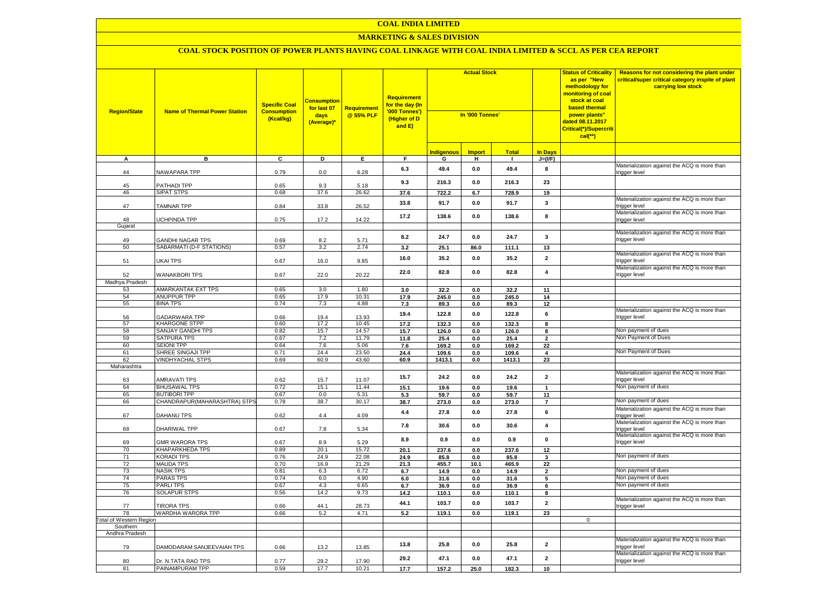#### **COAL INDIA LIMITED**

#### **MARKETING & SALES DIVISION**

| <b>Region/State</b>            | <b>Name of Thermal Power Station</b>  | <b>Specific Coal</b><br><b>Consumption</b><br>(Kcal/kg) | <b>Consumption</b><br>for last 07<br>days<br>(Average)* | Requirement<br>@ 55% PLF | <b>Requirement</b><br>for the day (In<br>'000 Tonnes')<br>(Higher of D<br>and E) | <b>Actual Stock</b><br>In '000 Tonnes' |               |               | <b>Status of Criticality</b><br>as per "New<br>methodology for<br>nonitoring of coal<br>stock at coal<br>based thermal<br>power plants"<br>dated 08.11.2017<br>Critical(*)/Supercriti<br>$cal(**)$ | Reasons for not considering the plant under<br>critical/super critical category inspite of plant<br>carrying low stock |                                                               |
|--------------------------------|---------------------------------------|---------------------------------------------------------|---------------------------------------------------------|--------------------------|----------------------------------------------------------------------------------|----------------------------------------|---------------|---------------|----------------------------------------------------------------------------------------------------------------------------------------------------------------------------------------------------|------------------------------------------------------------------------------------------------------------------------|---------------------------------------------------------------|
|                                |                                       |                                                         |                                                         |                          |                                                                                  | <b>Indigenous</b>                      | <b>Import</b> | <b>Total</b>  | <b>In Davs</b>                                                                                                                                                                                     |                                                                                                                        |                                                               |
| A                              | в                                     | $\overline{c}$                                          | Þ                                                       | E                        | F.                                                                               | G                                      | н             | $\mathbf{I}$  | $J=(VF)$                                                                                                                                                                                           |                                                                                                                        |                                                               |
| 44                             | NAWAPARA TPP                          | 0.79                                                    | 0.0                                                     | 6.28                     | 6.3                                                                              | 49.4                                   | 0.0           | 49.4          | 8                                                                                                                                                                                                  |                                                                                                                        | Materialization against the ACQ is more than<br>trigger level |
| 45<br>46                       | PATHADI TPP<br><b>SIPAT STPS</b>      | 0.65<br>0.68                                            | 9.3<br>37.6                                             | 5.18<br>26.62            | 9.3<br>37.6                                                                      | 216.3<br>722.2                         | 0.0<br>6.7    | 216.3         | 23                                                                                                                                                                                                 |                                                                                                                        |                                                               |
| 47                             | <b>TAMNAR TPP</b>                     | 0.84                                                    | 33.8                                                    | 26.52                    | 33.8                                                                             | 91.7                                   | 0.0           | 728.9<br>91.7 | 19<br>3                                                                                                                                                                                            |                                                                                                                        | Materialization against the ACQ is more than<br>rigger level  |
| 48                             | UCHPINDA TPP                          | 0.75                                                    | 17.2                                                    | 14.22                    | 17.2                                                                             | 138.6                                  | 0.0           | 138.6         | 8                                                                                                                                                                                                  |                                                                                                                        | Materialization against the ACQ is more than<br>trigger level |
| Gujarat                        |                                       |                                                         |                                                         |                          |                                                                                  |                                        |               |               |                                                                                                                                                                                                    |                                                                                                                        |                                                               |
| 49                             | <b>GANDHI NAGAR TPS</b>               | 0.69                                                    | 8.2                                                     | 5.71                     | 8.2                                                                              | 24.7                                   | 0.0           | 24.7          | 3                                                                                                                                                                                                  |                                                                                                                        | Materialization against the ACQ is more than<br>trigger level |
| 50                             | SABARMATI (D-F STATIONS)              | 0.57                                                    | 3.2                                                     | 2.74                     | 3.2                                                                              | 25.1                                   | 86.0          | 111.1         | 13                                                                                                                                                                                                 |                                                                                                                        |                                                               |
| 51                             | <b>UKAI TPS</b>                       | 0.67                                                    | 16.0                                                    | 9.85                     | 16.0                                                                             | 35.2                                   | 0.0           | 35.2          | $\mathbf{2}$                                                                                                                                                                                       |                                                                                                                        | Materialization against the ACQ is more than<br>rigger level  |
| 52                             | <b>WANAKBORI TPS</b>                  | 0.67                                                    | 22.0                                                    | 20.22                    | 22.0                                                                             | 82.8                                   | $0.0\,$       | 82.8          | $\overline{\mathbf{4}}$                                                                                                                                                                            |                                                                                                                        | Materialization against the ACQ is more than<br>trigger level |
| Madhya Pradesh                 |                                       |                                                         |                                                         |                          |                                                                                  |                                        |               |               |                                                                                                                                                                                                    |                                                                                                                        |                                                               |
| 53<br>54                       | AMARKANTAK EXT TPS<br>ANUPPUR TPP     | 0.65<br>0.65                                            | 3.0<br>17.9                                             | 1.80<br>10.31            | 3.0<br>17.9                                                                      | 32.2<br>245.0                          | 0.0<br>0.0    | 32.2<br>245.0 | 11<br>14                                                                                                                                                                                           |                                                                                                                        |                                                               |
| 55                             | <b>BINA TPS</b>                       | 0.74                                                    | 7.3                                                     | 4.88                     | 7.3                                                                              | 89.3                                   | 0.0           | 89.3          | 12                                                                                                                                                                                                 |                                                                                                                        |                                                               |
| 56                             | <b>GADARWARA TPP</b>                  | 0.66                                                    | 19.4                                                    | 13.93                    | 19.4                                                                             | 122.8                                  | 0.0           | 122.8         | 6                                                                                                                                                                                                  |                                                                                                                        | Materialization against the ACQ is more than<br>rigger level  |
| 57                             | <b>KHARGONE STPP</b>                  | 0.60                                                    | 17.2                                                    | 10.45                    | 17.2                                                                             | 132.3                                  | 0.0           | 132.3         | 8                                                                                                                                                                                                  |                                                                                                                        |                                                               |
| 58                             | SANJAY GANDHI TPS                     | 0.82                                                    | 15.7                                                    | 14.57                    | 15.7                                                                             | 126.0                                  | $0.0\,$       | 126.0         | 8                                                                                                                                                                                                  |                                                                                                                        | Non payment of dues                                           |
| 59                             | <b>SATPURA TPS</b>                    | 0.67                                                    | 7.2                                                     | 11.79                    | 11.8                                                                             | 25.4                                   | 0.0           | 25.4          | $\overline{\mathbf{2}}$                                                                                                                                                                            |                                                                                                                        | Non Payment of Dues                                           |
| 60                             | <b>SEIONI TPP</b>                     | 0.64                                                    | 7.6                                                     | 5.06                     | 7.6                                                                              | 169.2                                  | 0.0           | 169.2         | 22                                                                                                                                                                                                 |                                                                                                                        |                                                               |
| 61                             | SHREE SINGAJI TPP                     | 0.71                                                    | 24.4                                                    | 23.50                    | 24.4                                                                             | 109.6                                  | 0.0           | 109.6         | 4                                                                                                                                                                                                  |                                                                                                                        | Non Payment of Dues                                           |
| 62<br>Maharashtra              | <b>VINDHYACHAL STPS</b>               | 0.69                                                    | 60.9                                                    | 43.60                    | 60.9                                                                             | 1413.1                                 | 0.0           | 1413.1        | 23                                                                                                                                                                                                 |                                                                                                                        |                                                               |
| 63                             | <b>AMRAVATI TPS</b>                   | 0.62                                                    | 15.7                                                    | 11.07                    | 15.7                                                                             | 24.2                                   | $0.0\,$       | 24.2          | $\mathbf{2}$                                                                                                                                                                                       |                                                                                                                        | Materialization against the ACQ is more than<br>trigger level |
| 64                             | <b>BHUSAWAL TPS</b>                   | 0.72                                                    | 15.1                                                    | 11.44                    | 15.1                                                                             | 19.6                                   | 0.0           | 19.6          | $\mathbf{1}$                                                                                                                                                                                       |                                                                                                                        | Non payment of dues                                           |
| 65                             | <b>BUTIBORI TPP</b>                   | 0.67                                                    | 0.0                                                     | 5.31                     | 5.3                                                                              | 59.7                                   | 0.0           | 59.7          | 11                                                                                                                                                                                                 |                                                                                                                        |                                                               |
| 66                             | CHANDRAPUR(MAHARASHTRA) STPS          | 0.78                                                    | 38.7                                                    | 30.17                    | 38.7                                                                             | 273.0                                  | 0.0           | 273.0         | $\overline{7}$                                                                                                                                                                                     |                                                                                                                        | Non payment of dues                                           |
| 67                             | DAHANU TPS                            | 0.62                                                    | 4.4                                                     | 4.09                     | 4.4                                                                              | 27.8                                   | 0.0           | 27.8          | 6                                                                                                                                                                                                  |                                                                                                                        | Materialization against the ACQ is more than<br>trigger level |
| 68                             | DHARIWAL TPP                          | 0.67                                                    | 7.8                                                     | 5.34                     | 7.8                                                                              | 30.6                                   | 0.0           | 30.6          | $\overline{4}$                                                                                                                                                                                     |                                                                                                                        | Materialization against the ACQ is more than<br>trigger level |
| 69                             | <b>GMR WARORA TPS</b>                 | 0.67                                                    | 8.9                                                     | 5.29                     | 8.9                                                                              | 0.9                                    | 0.0           | 0.9           | $\pmb{0}$                                                                                                                                                                                          |                                                                                                                        | Materialization against the ACQ is more than<br>trigger level |
| 70                             | <b>KHAPARKHEDA TPS</b>                | 0.89                                                    | 20.1                                                    | 15.72<br>22.08           | 20.1                                                                             | 237.6                                  | 0.0           | 237.6         | 12                                                                                                                                                                                                 |                                                                                                                        | Non payment of dues                                           |
| 71<br>72                       | <b>KORADI TPS</b><br><b>MAUDA TPS</b> | 0.76<br>0.70                                            | 24.9<br>16.9                                            | 21.29                    | 24.9<br>21.3                                                                     | 85.8<br>455.7                          | 0.0<br>10.1   | 85.8<br>465.9 | 3<br>22                                                                                                                                                                                            |                                                                                                                        |                                                               |
| 73                             | <b>NASIK TPS</b>                      | 0.81                                                    | 6.3                                                     | 6.72                     | 6.7                                                                              | 14.9                                   | 0.0           | 14.9          | $\overline{\mathbf{2}}$                                                                                                                                                                            |                                                                                                                        | Non payment of dues                                           |
| 74                             | <b>PARAS TPS</b>                      | 0.74                                                    | 6.0                                                     | 4.90                     | 6.0                                                                              | 31.6                                   | 0.0           | 31.6          | 5                                                                                                                                                                                                  |                                                                                                                        | Non payment of dues                                           |
| 75                             | <b>PARLITPS</b>                       | 0.67                                                    | 4.3                                                     | 6.65                     | 6.7                                                                              | 36.9                                   | 0.0           | 36.9          | 6                                                                                                                                                                                                  |                                                                                                                        | Non payment of dues                                           |
| 76                             | SOLAPUR STPS                          | 0.56                                                    | 14.2                                                    | 9.73                     | 14.2                                                                             | 110.1                                  | 0.0           | 110.1         | 8                                                                                                                                                                                                  |                                                                                                                        |                                                               |
| 77                             | <b>TIRORA TPS</b>                     | 0.66                                                    | 44.1                                                    | 28.73                    | 44.1                                                                             | 103.7                                  | 0.0           | 103.7         | $\mathbf{2}$                                                                                                                                                                                       |                                                                                                                        | Materialization against the ACQ is more than<br>trigger level |
| 78                             | WARDHA WARORA TPP                     | 0.66                                                    | 5.2                                                     | 4.71                     | 5.2                                                                              | 119.1                                  | 0.0           | 119.1         | 23                                                                                                                                                                                                 |                                                                                                                        |                                                               |
| <b>Total of Western Region</b> |                                       |                                                         |                                                         |                          |                                                                                  |                                        |               |               |                                                                                                                                                                                                    | $\overline{0}$                                                                                                         |                                                               |
| Southern<br>Andhra Pradesh     |                                       |                                                         |                                                         |                          |                                                                                  |                                        |               |               |                                                                                                                                                                                                    |                                                                                                                        |                                                               |
| 79                             | DAMODARAM SANJEEVAIAH TPS             | 0.66                                                    | 13.2                                                    | 13.85                    | 13.8                                                                             | 25.8                                   | 0.0           | 25.8          | $\mathbf{2}$                                                                                                                                                                                       |                                                                                                                        | Materialization against the ACQ is more than<br>rigger level  |
| 80                             | Dr. N.TATA RAO TPS                    | 0.77                                                    | 29.2                                                    | 17.90                    | 29.2                                                                             | 47.1                                   | 0.0           | 47.1          | $\mathbf{2}$                                                                                                                                                                                       |                                                                                                                        | Materialization against the ACQ is more than<br>trigger level |
| 81                             | PAINAMPURAM TPP                       | 0.59                                                    | 17.7                                                    | 10.21                    | 17.7                                                                             | 157.2                                  | 25.0          | 182.3         | 10                                                                                                                                                                                                 |                                                                                                                        |                                                               |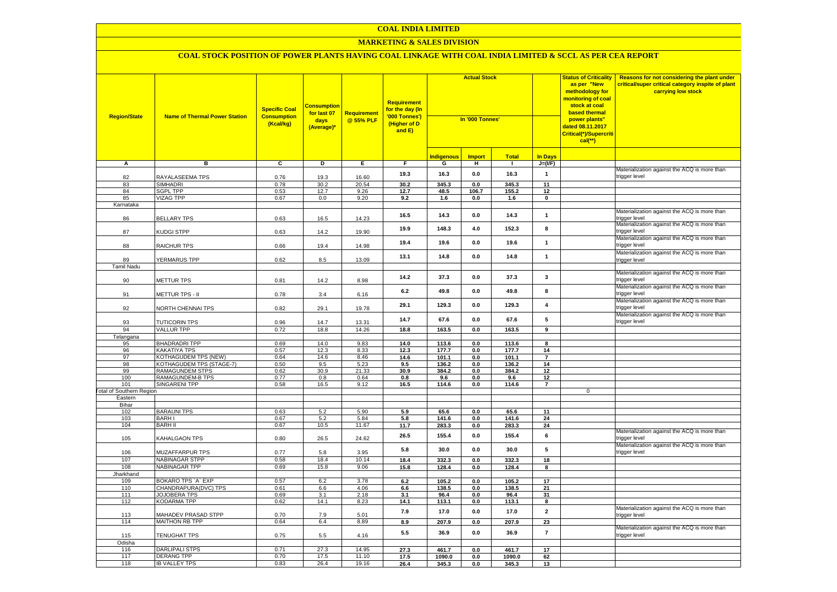#### **COAL INDIA LIMITED**

## **MARKETING & SALES DIVISION**

| <b>Region/State</b>             | <b>Name of Thermal Power Station</b>              | <b>Specific Coal</b><br><b>Consumption</b><br>(Kcal/kg) | Consumption<br>for last 07<br>days<br>(Average)* | <b>Requirement</b><br>@ 55% PLF | <b>Requirement</b><br>for the day (In<br>'000 Tonnes')<br>(Higher of D<br>and E) | <b>Actual Stock</b><br>In '000 Tonnes' |               |                 |                         | <b>Status of Criticality</b><br>as per "New<br>methodology for<br>monitoring of coal<br>stock at coal<br><b>based thermal</b><br>power plants"<br>dated 08.11.2017<br>Critical(*)/Supercriti<br>$cal$ (**) | Reasons for not considering the plant under<br>critical/super critical category inspite of plant<br>carrying low stock |
|---------------------------------|---------------------------------------------------|---------------------------------------------------------|--------------------------------------------------|---------------------------------|----------------------------------------------------------------------------------|----------------------------------------|---------------|-----------------|-------------------------|------------------------------------------------------------------------------------------------------------------------------------------------------------------------------------------------------------|------------------------------------------------------------------------------------------------------------------------|
|                                 |                                                   |                                                         |                                                  |                                 |                                                                                  | <b>Indigenous</b>                      | <b>Import</b> | <b>Total</b>    | <b>In Days</b>          |                                                                                                                                                                                                            |                                                                                                                        |
| А                               | в                                                 | C                                                       | D                                                | Е.                              | F.                                                                               | G                                      | н             | $\mathbf{I}$    | $J=(\mathsf{IF})$       |                                                                                                                                                                                                            |                                                                                                                        |
| 82                              | RAYALASEEMA TPS                                   | 0.76                                                    | 19.3                                             | 16.60                           | 19.3                                                                             | 16.3                                   | 0.0           | 16.3            | $\overline{1}$          |                                                                                                                                                                                                            | Materialization against the ACQ is more than<br>trigger level                                                          |
| 83                              | <b>SIMHADRI</b>                                   | 0.78                                                    | 30.2                                             | 20.54                           | 30.2                                                                             | 345.3                                  | 0.0           | 345.3           | 11                      |                                                                                                                                                                                                            |                                                                                                                        |
| 84                              | <b>SGPL TPP</b>                                   | 0.53                                                    | 12.7                                             | 9.26                            | 12.7                                                                             | 48.5                                   | 106.7         | 155.2           | 12                      |                                                                                                                                                                                                            |                                                                                                                        |
| 85<br>Karnataka                 | <b>VIZAG TPP</b>                                  | 0.67                                                    | 0.0                                              | 9.20                            | 9.2                                                                              | 1.6                                    | 0.0           | 1.6             | $\mathbf 0$             |                                                                                                                                                                                                            |                                                                                                                        |
| 86                              | <b>BELLARY TPS</b>                                | 0.63                                                    | 16.5                                             | 14.23                           | 16.5                                                                             | 14.3                                   | 0.0           | 14.3            | $\mathbf{1}$            |                                                                                                                                                                                                            | Materialization against the ACQ is more than<br>rigger level                                                           |
| 87                              | <b>KUDGI STPP</b>                                 | 0.63                                                    | 14.2                                             | 19.90                           | 19.9                                                                             | 148.3                                  | 4.0           | 152.3           | 8                       |                                                                                                                                                                                                            | Materialization against the ACQ is more than<br>trigger level                                                          |
| 88                              | <b>RAICHUR TPS</b>                                | 0.66                                                    | 19.4                                             | 14.98                           | 19.4                                                                             | 19.6                                   | 0.0           | 19.6            | $\mathbf{1}$            |                                                                                                                                                                                                            | Materialization against the ACQ is more than<br>trigger level                                                          |
| 89                              | YERMARUS TPP                                      | 0.62                                                    | 8.5                                              | 13.09                           | 13.1                                                                             | 14.8                                   | 0.0           | 14.8            | $\mathbf{1}$            |                                                                                                                                                                                                            | Materialization against the ACQ is more than<br>trigger level                                                          |
| <b>Tamil Nadu</b>               |                                                   |                                                         |                                                  |                                 |                                                                                  |                                        |               |                 |                         |                                                                                                                                                                                                            |                                                                                                                        |
| 90                              | METTUR TPS                                        | 0.81                                                    | 14.2                                             | 8.98                            | 14.2                                                                             | 37.3                                   | 0.0           | 37.3            | $\mathbf{3}$            |                                                                                                                                                                                                            | Materialization against the ACQ is more than<br>trigger level                                                          |
| 91                              | METTUR TPS - II                                   | 0.78                                                    | 3.4                                              | 6.16                            | 6.2                                                                              | 49.8                                   | 0.0           | 49.8            | 8                       |                                                                                                                                                                                                            | Materialization against the ACQ is more than<br>trigger level                                                          |
| 92                              | NORTH CHENNAI TPS                                 | 0.82                                                    | 29.1                                             | 19.78                           | 29.1                                                                             | 129.3                                  | 0.0           | 129.3           | $\overline{\mathbf{4}}$ |                                                                                                                                                                                                            | Materialization against the ACQ is more than<br>trigger level                                                          |
| 93                              | TUTICORIN TPS                                     | 0.96                                                    | 14.7                                             | 13.31                           | 14.7                                                                             | 67.6                                   | 0.0           | 67.6            | 5                       |                                                                                                                                                                                                            | Materialization against the ACQ is more than<br>trigger level                                                          |
| 94                              | <b>VALLUR TPP</b>                                 | 0.72                                                    | 18.8                                             | 14.26                           | 18.8                                                                             | 163.5                                  | 0.0           | 163.5           | 9                       |                                                                                                                                                                                                            |                                                                                                                        |
| Telangana<br>95                 | <b>BHADRADRITPP</b>                               | 0.69                                                    | 14.0                                             | 9.83                            | 14.0                                                                             | 113.6                                  | 0.0           | 113.6           | 8                       |                                                                                                                                                                                                            |                                                                                                                        |
| 96                              | KAKATIYA TPS                                      | 0.57                                                    | 12.3                                             | 8.33                            | 12.3                                                                             | 177.7                                  | 0.0           | 177.7           | 14                      |                                                                                                                                                                                                            |                                                                                                                        |
| 97                              | <b>KOTHAGUDEM TPS (NEW)</b>                       | 0.64                                                    | 14.6                                             | 8.46                            | 14.6                                                                             | 101.1                                  | 0.0           | 101.1           | 7                       |                                                                                                                                                                                                            |                                                                                                                        |
| 98                              | KOTHAGUDEM TPS (STAGE-7)                          | 0.50                                                    | 9.5                                              | 5.23                            | 9.5                                                                              | 136.2                                  | 0.0           | 136.2           | 14                      |                                                                                                                                                                                                            |                                                                                                                        |
| 99<br>100                       | <b>RAMAGUNDEM STPS</b><br><b>RAMAGUNDEM-B TPS</b> | 0.62<br>0.77                                            | 30.9<br>0.8                                      | 21.33<br>0.64                   | 30.9                                                                             | 384.2<br>9.6                           | 0.0           | 384.2<br>9.6    | 12<br>12                |                                                                                                                                                                                                            |                                                                                                                        |
| 101                             | <b>SINGARENI TPP</b>                              | 0.58                                                    | 16.5                                             | 9.12                            | 0.8<br>16.5                                                                      | 114.6                                  | 0.0<br>0.0    | 114.6           | $\overline{7}$          |                                                                                                                                                                                                            |                                                                                                                        |
| <b>Total of Southern Region</b> |                                                   |                                                         |                                                  |                                 |                                                                                  |                                        |               |                 |                         | $\mathbf 0$                                                                                                                                                                                                |                                                                                                                        |
| Eastern                         |                                                   |                                                         |                                                  |                                 |                                                                                  |                                        |               |                 |                         |                                                                                                                                                                                                            |                                                                                                                        |
| Bihar<br>102                    | <b>BARAUNI TPS</b>                                | 0.63                                                    | 5.2                                              | 5.90                            | 5.9                                                                              | 65.6                                   | 0.0           | 65.6            | 11                      |                                                                                                                                                                                                            |                                                                                                                        |
| 103                             | <b>BARHI</b>                                      | 0.67                                                    | 5.2                                              | 5.84                            | 5.8                                                                              | 141.6                                  | $0.0\,$       | 141.6           | 24                      |                                                                                                                                                                                                            |                                                                                                                        |
| 104                             | <b>BARH II</b>                                    | 0.67                                                    | 10.5                                             | 11.67                           | 11.7                                                                             | 283.3                                  | 0.0           | 283.3           | 24                      |                                                                                                                                                                                                            |                                                                                                                        |
| 105                             | <b>KAHALGAON TPS</b>                              | 0.80                                                    | 26.5                                             | 24.62                           | 26.5                                                                             | 155.4                                  | 0.0           | 155.4           | 6                       |                                                                                                                                                                                                            | Materialization against the ACQ is more than<br>trigger level                                                          |
| 106                             | MUZAFFARPUR TPS                                   | 0.77                                                    | 5.8                                              | 3.95                            | 5.8                                                                              | 30.0                                   | 0.0           | 30.0            | 5                       |                                                                                                                                                                                                            | Materialization against the ACQ is more than<br>trigger level                                                          |
| 107                             | <b>NABINAGAR STPP</b>                             | 0.58                                                    | 18.4                                             | 10.14                           | 18.4                                                                             | 332.3                                  | 0.0           | 332.3           | 18                      |                                                                                                                                                                                                            |                                                                                                                        |
| 108                             | NABINAGAR TPP                                     | 0.69                                                    | 15.8                                             | 9.06                            | 15.8                                                                             | 128.4                                  | 0.0           | 128.4           | 8                       |                                                                                                                                                                                                            |                                                                                                                        |
| <b>Jharkhand</b><br>109         | BOKARO TPS 'A' EXP                                | 0.57                                                    | 6.2                                              | 3.78                            | 6.2                                                                              | 105.2                                  | 0.0           | 105.2           | 17                      |                                                                                                                                                                                                            |                                                                                                                        |
| 110                             | CHANDRAPURA(DVC) TPS                              | 0.61                                                    | 6.6                                              | 4.06                            | 6.6                                                                              | 138.5                                  | 0.0           | 138.5           | 21                      |                                                                                                                                                                                                            |                                                                                                                        |
| 111                             | JOJOBERA TPS                                      | 0.69                                                    | 3.1                                              | 2.18                            | 3.1                                                                              | 96.4                                   | 0.0           | 96.4            | 31                      |                                                                                                                                                                                                            |                                                                                                                        |
| 112                             | <b>KODARMA TPP</b>                                | 0.62                                                    | 14.1                                             | 8.23                            | 14.1                                                                             | 113.1                                  | 0.0           | 113.1           | 8                       |                                                                                                                                                                                                            |                                                                                                                        |
| 113                             | MAHADEV PRASAD STPP                               | 0.70                                                    | 7.9                                              | 5.01                            | 7.9                                                                              | 17.0                                   | 0.0           | 17.0            | $\overline{\mathbf{2}}$ |                                                                                                                                                                                                            | Materialization against the ACQ is more than<br>trigger level                                                          |
| 114                             | <b>MAITHON RB TPP</b>                             | 0.64                                                    | 6.4                                              | 8.89                            | 8.9                                                                              | 207.9                                  | $0.0\,$       | 207.9           | 23                      |                                                                                                                                                                                                            |                                                                                                                        |
| 115                             | <b>TENUGHAT TPS</b>                               | 0.75                                                    | 5.5                                              | 4.16                            | 5.5                                                                              | 36.9                                   | 0.0           | 36.9            | $\overline{7}$          |                                                                                                                                                                                                            | Materialization against the ACQ is more than<br>trigger level                                                          |
| Odisha                          | <b>DARLIPALI STPS</b>                             | 0.71                                                    | 27.3                                             | 14.95                           |                                                                                  |                                        |               |                 |                         |                                                                                                                                                                                                            |                                                                                                                        |
| 116<br>117                      | <b>DERANG TPP</b>                                 | 0.70                                                    | 17.5                                             | 11.10                           | 27.3<br>17.5                                                                     | 461.7<br>1090.0                        | 0.0<br>0.0    | 461.7<br>1090.0 | 17<br>62                |                                                                                                                                                                                                            |                                                                                                                        |
| 118                             | <b>IB VALLEY TPS</b>                              | 0.83                                                    | 26.4                                             | 19.16                           | 26.4                                                                             | 345.3                                  | 0.0           | 345.3           | 13                      |                                                                                                                                                                                                            |                                                                                                                        |